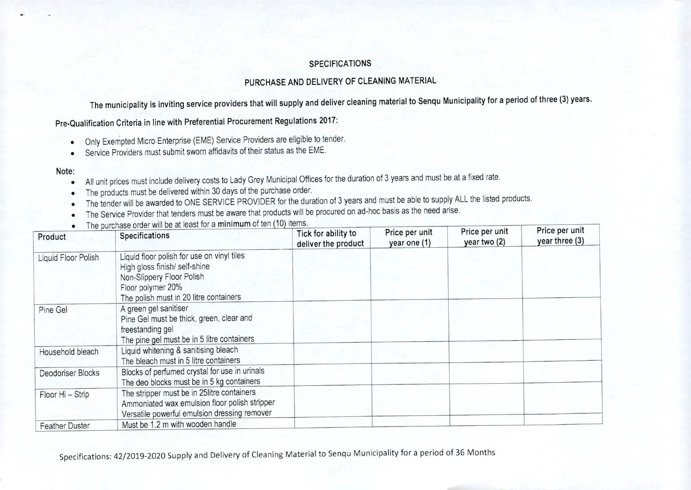## SPECIFICATIONS

## PURCHASE AND DELIVERY OF CLEANING MATERIAL

The municipality is inviting service providers that will supply and deliver cleaning material to Senqu Municipality for a period of three (3) years.

Pre-Qualification Criteria in line with Preferential Procurement Regulations 2017:

- Only Exempted Micro Enterprise (EME) Service Providers are eligible to tender.  $\bullet$
- Service Providers must submit sworn affidavits of their status as the EME.  $\bullet$

## Note:

- All unit prices must include delivery costs to Lady Grey Municipal Offices for the duration of 3 years and must be at a fixed rate.  $\bullet$
- The products must be delivered within 30 days of the purchase order.  $\bullet$
- The tender will be awarded to ONE SERVICE PROVIDER for the duration of 3 years and must be able to supply ALL the listed products.
- The Service Provider that tenders must be aware that products will be procured on ad-hoc basis as the need arise.  $\bullet$
- The purchase order will be at least for a minimum of ten (10) items

| Product               | The purchase order will be at ideal for a minimizing order $\left(\frac{1}{2}, \frac{1}{2}\right)$<br>Specifications                                                    | Tick for ability to<br>deliver the product | Price per unit<br>year one (1) | Price per unit<br>year two (2) | Price per unit<br>year three (3) |
|-----------------------|-------------------------------------------------------------------------------------------------------------------------------------------------------------------------|--------------------------------------------|--------------------------------|--------------------------------|----------------------------------|
| Liquid Floor Polish   | Liquid floor polish for use on vinyl tiles<br>High gloss finish/ self-shine<br>Non-Slippery Floor Polish<br>Floor polymer 20%<br>The polish must in 20 litre containers |                                            |                                |                                |                                  |
| Pine Gel              | A green gel sanitiser<br>Pine Gel must be thick, green, clear and<br>freestanding gel<br>The pine gel must be in 5 litre containers                                     |                                            |                                |                                |                                  |
| Household bleach      | Liquid whitening & sanitising bleach<br>The bleach must in 5 litre containers                                                                                           |                                            |                                |                                |                                  |
| Deodoriser Blocks     | Blocks of perfumed crystal for use in urinals<br>The deo blocks must be in 5 kg containers                                                                              |                                            |                                |                                |                                  |
| Floor Hi - Strip      | The stripper must be in 25litre containers<br>Ammoniated wax emulsion floor polish stripper<br>Versatile powerful emulsion dressing remover                             |                                            |                                |                                |                                  |
| <b>Feather Duster</b> | Must be 1.2 m with wooden handle                                                                                                                                        |                                            |                                |                                |                                  |

Specifications: 42/2019-2020 Supply and Delivery of Cleaning Material to Senqu Municipality for a period of 36 Months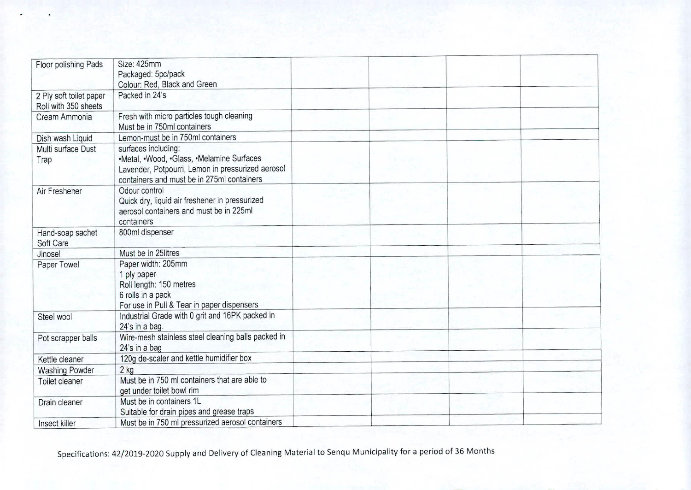| Floor polishing Pads                            | Size: 425mm<br>Packaged: 5pc/pack<br>Colour: Red, Black and Green                                                                                                   |  |  |
|-------------------------------------------------|---------------------------------------------------------------------------------------------------------------------------------------------------------------------|--|--|
| 2 Ply soft toilet paper<br>Roll with 350 sheets | Packed in 24's                                                                                                                                                      |  |  |
| Cream Ammonia                                   | Fresh with micro particles tough cleaning<br>Must be in 750ml containers                                                                                            |  |  |
| Dish wash Liquid                                | Lemon-must be in 750ml containers                                                                                                                                   |  |  |
| Multi surface Dust<br>Trap                      | surfaces including:<br>•Metal, •Wood, •Glass, •Melamine Surfaces<br>Lavender, Potpourri, Lemon in pressurized aerosol<br>containers and must be in 275ml containers |  |  |
| Air Freshener                                   | Odour control<br>Quick dry, liquid air freshener in pressurized<br>aerosol containers and must be in 225ml<br>containers                                            |  |  |
| Hand-soap sachet<br>Soft Care                   | 800ml dispenser                                                                                                                                                     |  |  |
| Jinosel                                         | Must be in 25litres                                                                                                                                                 |  |  |
| Paper Towel                                     | Paper width: 205mm<br>1 ply paper<br>Roll length: 150 metres<br>6 rolls in a pack<br>For use in Pull & Tear in paper dispensers                                     |  |  |
| Steel wool                                      | Industrial Grade with 0 grit and 16PK packed in<br>24's in a bag.                                                                                                   |  |  |
| Pot scrapper balls                              | Wire-mesh stainless steel cleaning balls packed in<br>24's in a bag                                                                                                 |  |  |
| Kettle cleaner                                  | 120g de-scaler and kettle humidifier box                                                                                                                            |  |  |
| <b>Washing Powder</b>                           | $2$ kg                                                                                                                                                              |  |  |
| Toilet cleaner                                  | Must be in 750 ml containers that are able to<br>get under toilet bowl rim                                                                                          |  |  |
| Drain cleaner                                   | Must be in containers 1L<br>Suitable for drain pipes and grease traps                                                                                               |  |  |
| Insect killer                                   | Must be in 750 ml pressurized aerosol containers                                                                                                                    |  |  |

Specifications: 42/2019-2020 Supply and Delivery of Cleaning Material to Senqu Municipality for a period of 36 Months